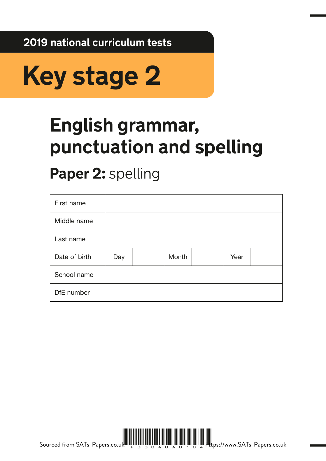**2019 national curriculum tests**



# **English grammar, punctuation and spelling**

## **Paper 2:** spelling

| First name    |     |       |      |  |
|---------------|-----|-------|------|--|
| Middle name   |     |       |      |  |
| Last name     |     |       |      |  |
| Date of birth | Day | Month | Year |  |
| School name   |     |       |      |  |
| DfE number    |     |       |      |  |



Sourced from SATs-Papers.co.uk الله العامل العامل العامل العامل العامل العامل العامل العامل العامل العامل العامل العامل العامل العامل العامل <br>المسابق العامل العامل العامل العامل العامل العامل العامل العامل العامل العامل العامل العامل العامل العامل العا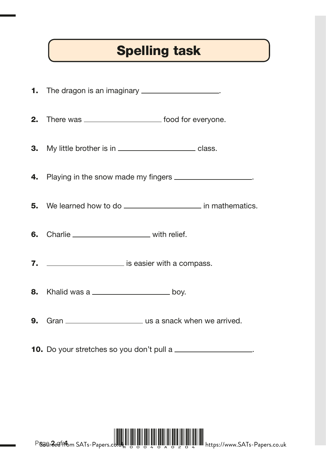### Spelling task

1. The dragon is an imaginary **contain the dragon is an imaginary 2.** There was \_\_\_\_\_\_\_\_\_\_\_\_\_\_\_\_\_\_\_\_\_\_ food for everyone. **3.** My little brother is in \_\_\_\_\_\_\_\_\_\_\_\_\_\_\_\_\_\_\_\_\_\_\_\_\_ class. 4. Playing in the snow made my fingers \_\_\_\_\_\_\_\_\_\_\_\_\_\_\_\_\_\_\_. **5.** We learned how to do **in mathematics**. 6. Charlie \_\_\_\_\_\_\_\_\_\_\_\_\_\_\_\_\_\_\_\_\_\_\_\_ with relief. 7. **I. I** is easier with a compass. **8.** Khalid was a <u>**how in the same of the set of the set of the set of the set of the set of the set of the set of the set of the set of the set of the set of the set of the set of the set of the set of the set of the set</u> 9.** Gran <u>\_\_\_\_\_\_\_\_\_\_\_\_\_\_\_\_\_\_\_\_\_\_\_</u> us a snack when we arrived.

**10.** Do your stretches so you don't pull a \_\_\_\_\_\_\_\_\_\_\_\_\_\_\_\_\_\_\_.



Pager 2 afftom SAT<sub>s</sub>-Papers.com https://www.SATs-Papers.co.uk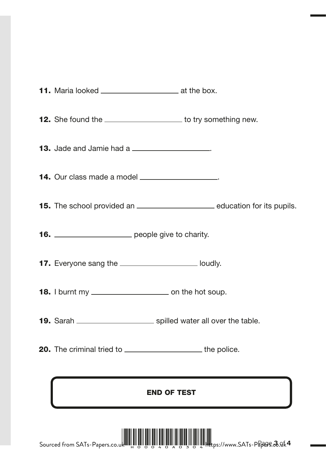|                                                        | <b>12.</b> She found the _______________________ to try something new.                    |
|--------------------------------------------------------|-------------------------------------------------------------------------------------------|
| <b>13.</b> Jade and Jamie had a                        |                                                                                           |
|                                                        | 14. Our class made a model ____________________.                                          |
|                                                        | <b>15.</b> The school provided an _____________________________ education for its pupils. |
| 16. __________________________ people give to charity. |                                                                                           |
|                                                        | 17. Everyone sang the ______________________ loudly.                                      |
|                                                        |                                                                                           |
|                                                        |                                                                                           |
|                                                        | <b>20.</b> The criminal tried to ___________________________the police.                   |

END OF TEST